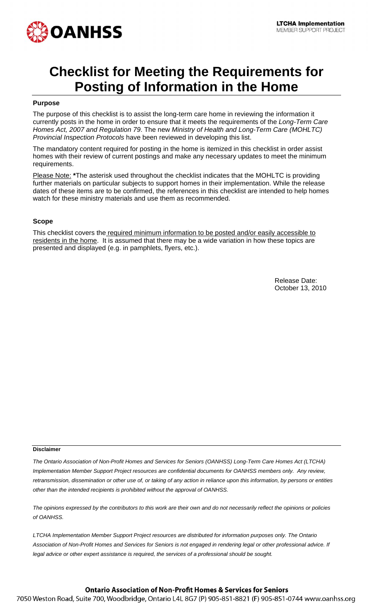

# **Checklist for Meeting the Requirements for Posting of Information in the Home**

### **Purpose**

The purpose of this checklist is to assist the long-term care home in reviewing the information it currently posts in the home in order to ensure that it meets the requirements of the *Long-Term Care Homes Act, 2007 and Regulation 79*. The new *Ministry of Health and Long-Term Care (MOHLTC) Provincial Inspection Protocols* have been reviewed in developing this list.

The mandatory content required for posting in the home is itemized in this checklist in order assist homes with their review of current postings and make any necessary updates to meet the minimum requirements.

Please Note: **\***The asterisk used throughout the checklist indicates that the MOHLTC is providing further materials on particular subjects to support homes in their implementation. While the release dates of these items are to be confirmed, the references in this checklist are intended to help homes watch for these ministry materials and use them as recommended.

#### **Scope**

This checklist covers the required minimum information to be posted and/or easily accessible to residents in the home. It is assumed that there may be a wide variation in how these topics are presented and displayed (e.g. in pamphlets, flyers, etc.).

> Release Date: October 13, 2010

#### **Disclaimer**

*The Ontario Association of Non-Profit Homes and Services for Seniors (OANHSS) Long-Term Care Homes Act (LTCHA) Implementation Member Support Project resources are confidential documents for OANHSS members only. Any review, retransmission, dissemination or other use of, or taking of any action in reliance upon this information, by persons or entities other than the intended recipients is prohibited without the approval of OANHSS.*

*The opinions expressed by the contributors to this work are their own and do not necessarily reflect the opinions or policies of OANHSS.*

*LTCHA Implementation Member Support Project resources are distributed for information purposes only. The Ontario Association of Non-Profit Homes and Services for Seniors is not engaged in rendering legal or other professional advice. If*  legal advice or other expert assistance is required, the services of a professional should be sought.

## **Ontario Association of Non-Profit Homes & Services for Seniors**

7050 Weston Road, Suite 700, Woodbridge, Ontario L4L 8G7 (P) 905-851-8821 (F) 905-851-0744 www.oanhss.org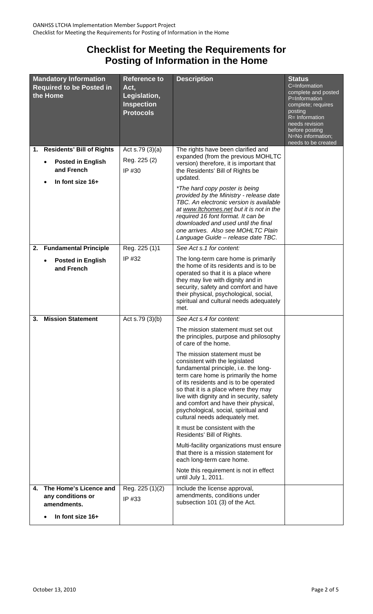# **Checklist for Meeting the Requirements for Posting of Information in the Home**

| <b>Mandatory Information</b><br><b>Required to be Posted in</b><br>the Home |                                                                                            | <b>Reference to</b><br>Act,<br>Legislation,<br><b>Inspection</b><br><b>Protocols</b> | <b>Description</b>                                                                                                                                                                                                                                                                                                                                                                                                                                                                                                                                                                                                                                                                                                                                                                       | <b>Status</b><br>C=Information<br>complete and posted<br>P=Information<br>complete; requires<br>posting<br>R= Information<br>needs revision<br>before posting<br>N=No information;<br>needs to be created |
|-----------------------------------------------------------------------------|--------------------------------------------------------------------------------------------|--------------------------------------------------------------------------------------|------------------------------------------------------------------------------------------------------------------------------------------------------------------------------------------------------------------------------------------------------------------------------------------------------------------------------------------------------------------------------------------------------------------------------------------------------------------------------------------------------------------------------------------------------------------------------------------------------------------------------------------------------------------------------------------------------------------------------------------------------------------------------------------|-----------------------------------------------------------------------------------------------------------------------------------------------------------------------------------------------------------|
|                                                                             | 1. Residents' Bill of Rights<br><b>Posted in English</b><br>and French<br>In font size 16+ | Act s.79 $(3)(a)$<br>Reg. 225 (2)<br>IP #30                                          | The rights have been clarified and<br>expanded (from the previous MOHLTC<br>version) therefore, it is important that<br>the Residents' Bill of Rights be<br>updated.<br>*The hard copy poster is being<br>provided by the Ministry - release date<br>TBC. An electronic version is available<br>at www.ltchomes.net but it is not in the<br>required 16 font format. It can be<br>downloaded and used until the final<br>one arrives. Also see MOHLTC Plain<br>Language Guide - release date TBC.                                                                                                                                                                                                                                                                                        |                                                                                                                                                                                                           |
| 2.                                                                          | <b>Fundamental Principle</b><br><b>Posted in English</b><br>and French                     | Reg. 225 (1)1<br>IP #32                                                              | See Act s.1 for content:<br>The long-term care home is primarily<br>the home of its residents and is to be<br>operated so that it is a place where<br>they may live with dignity and in<br>security, safety and comfort and have<br>their physical, psychological, social,<br>spiritual and cultural needs adequately<br>met.                                                                                                                                                                                                                                                                                                                                                                                                                                                            |                                                                                                                                                                                                           |
| 3.                                                                          | <b>Mission Statement</b>                                                                   | Act s.79 $(3)(b)$                                                                    | See Act s.4 for content:<br>The mission statement must set out<br>the principles, purpose and philosophy<br>of care of the home.<br>The mission statement must be<br>consistent with the legislated<br>fundamental principle, i.e. the long-<br>term care home is primarily the home<br>of its residents and is to be operated<br>so that it is a place where they may<br>live with dignity and in security, safety<br>and comfort and have their physical,<br>psychological, social, spiritual and<br>cultural needs adequately met.<br>It must be consistent with the<br>Residents' Bill of Rights.<br>Multi-facility organizations must ensure<br>that there is a mission statement for<br>each long-term care home.<br>Note this requirement is not in effect<br>until July 1, 2011. |                                                                                                                                                                                                           |
| 4.                                                                          | The Home's Licence and<br>any conditions or<br>amendments.<br>In font size 16+             | Reg. 225 (1)(2)<br>IP #33                                                            | Include the license approval,<br>amendments, conditions under<br>subsection 101 (3) of the Act.                                                                                                                                                                                                                                                                                                                                                                                                                                                                                                                                                                                                                                                                                          |                                                                                                                                                                                                           |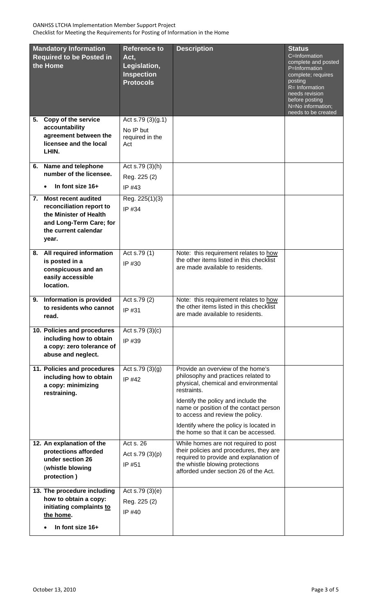| <b>Mandatory Information</b><br><b>Required to be Posted in</b><br>the Home |                                                                                                                                          | <b>Reference to</b><br>Act,<br>Legislation,<br><b>Inspection</b><br><b>Protocols</b> | <b>Description</b>                                                                                                                                                                                                                                   | <b>Status</b><br>C=Information<br>complete and posted<br>P=Information<br>complete; requires<br>posting |
|-----------------------------------------------------------------------------|------------------------------------------------------------------------------------------------------------------------------------------|--------------------------------------------------------------------------------------|------------------------------------------------------------------------------------------------------------------------------------------------------------------------------------------------------------------------------------------------------|---------------------------------------------------------------------------------------------------------|
|                                                                             |                                                                                                                                          |                                                                                      |                                                                                                                                                                                                                                                      | R= Information<br>needs revision<br>before posting<br>N=No information;<br>needs to be created          |
| 5.                                                                          | <b>Copy of the service</b><br>accountability<br>agreement between the<br>licensee and the local<br>LHIN.                                 | Act s.79 $(3)(g.1)$<br>No IP but<br>required in the<br>Act                           |                                                                                                                                                                                                                                                      |                                                                                                         |
|                                                                             | 6. Name and telephone<br>number of the licensee.<br>In font size 16+                                                                     | Act s.79 (3)(h)<br>Reg. 225 (2)<br>IP #43                                            |                                                                                                                                                                                                                                                      |                                                                                                         |
|                                                                             | 7. Most recent audited<br>reconciliation report to<br>the Minister of Health<br>and Long-Term Care; for<br>the current calendar<br>year. | Reg. 225(1)(3)<br>IP #34                                                             |                                                                                                                                                                                                                                                      |                                                                                                         |
|                                                                             | 8. All required information<br>is posted in a<br>conspicuous and an<br>easily accessible<br>location.                                    | Act s.79 (1)<br>IP #30                                                               | Note: this requirement relates to how<br>the other items listed in this checklist<br>are made available to residents.                                                                                                                                |                                                                                                         |
| 9.                                                                          | Information is provided<br>to residents who cannot<br>read.                                                                              | Act s.79 (2)<br>IP #31                                                               | Note: this requirement relates to how<br>the other items listed in this checklist<br>are made available to residents.                                                                                                                                |                                                                                                         |
|                                                                             | 10. Policies and procedures<br>including how to obtain<br>a copy: zero tolerance of<br>abuse and neglect.                                | Act s.79 $(3)(c)$<br>IP #39                                                          |                                                                                                                                                                                                                                                      |                                                                                                         |
|                                                                             | 11. Policies and procedures<br>including how to obtain<br>a copy: minimizing<br>restraining.                                             | Act s.79 $(3)(q)$<br>IP #42                                                          | Provide an overview of the home's<br>philosophy and practices related to<br>physical, chemical and environmental<br>restraints.<br>Identify the policy and include the<br>name or position of the contact person<br>to access and review the policy. |                                                                                                         |
|                                                                             |                                                                                                                                          |                                                                                      | Identify where the policy is located in<br>the home so that it can be accessed.                                                                                                                                                                      |                                                                                                         |
|                                                                             | 12. An explanation of the<br>protections afforded<br>under section 26<br>(whistle blowing<br>protection)                                 | Act s. 26<br>Act s.79 $(3)(p)$<br>IP #51                                             | While homes are not required to post<br>their policies and procedures, they are<br>required to provide and explanation of<br>the whistle blowing protections<br>afforded under section 26 of the Act.                                                |                                                                                                         |
|                                                                             | 13. The procedure including<br>how to obtain a copy:<br>initiating complaints to<br>the home.<br>In font size 16+                        | Act s.79 $(3)(e)$<br>Reg. 225 (2)<br>IP #40                                          |                                                                                                                                                                                                                                                      |                                                                                                         |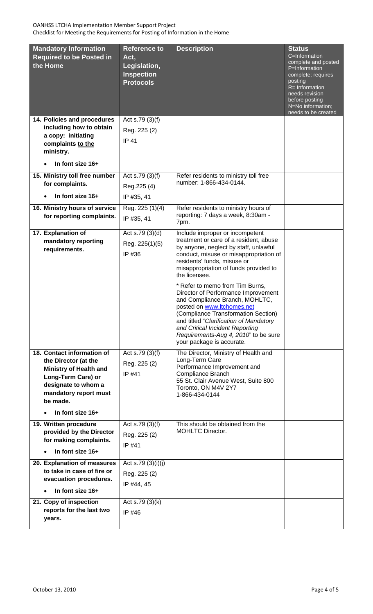| <b>Mandatory Information</b><br><b>Required to be Posted in</b><br>the Home                                                                                                               | <b>Reference to</b><br>Act,<br>Legislation,<br><b>Inspection</b><br><b>Protocols</b> | <b>Description</b>                                                                                                                                                                                                                                                                                                                                                                                                                                                                                                                                                                       | <b>Status</b><br>C=Information<br>complete and posted<br>P=Information<br>complete; requires<br>posting<br>$R = Information$<br>needs revision<br>before posting<br>N=No information;<br>needs to be created |
|-------------------------------------------------------------------------------------------------------------------------------------------------------------------------------------------|--------------------------------------------------------------------------------------|------------------------------------------------------------------------------------------------------------------------------------------------------------------------------------------------------------------------------------------------------------------------------------------------------------------------------------------------------------------------------------------------------------------------------------------------------------------------------------------------------------------------------------------------------------------------------------------|--------------------------------------------------------------------------------------------------------------------------------------------------------------------------------------------------------------|
| 14. Policies and procedures<br>including how to obtain<br>a copy: initiating<br>complaints to the<br>ministry.<br>In font size 16+                                                        | Act s.79 (3)(f)<br>Reg. 225 (2)<br><b>IP 41</b>                                      |                                                                                                                                                                                                                                                                                                                                                                                                                                                                                                                                                                                          |                                                                                                                                                                                                              |
| 15. Ministry toll free number<br>for complaints.<br>In font size 16+                                                                                                                      | Act s.79 (3)(f)<br>Reg. 225 (4)<br>IP #35, 41                                        | Refer residents to ministry toll free<br>number: 1-866-434-0144.                                                                                                                                                                                                                                                                                                                                                                                                                                                                                                                         |                                                                                                                                                                                                              |
| 16. Ministry hours of service<br>for reporting complaints.                                                                                                                                | Reg. 225 (1)(4)<br>IP #35, 41                                                        | Refer residents to ministry hours of<br>reporting: 7 days a week, 8:30am -<br>7pm.                                                                                                                                                                                                                                                                                                                                                                                                                                                                                                       |                                                                                                                                                                                                              |
| 17. Explanation of<br>mandatory reporting<br>requirements.                                                                                                                                | Act s.79 (3)(d)<br>Reg. 225(1)(5)<br>IP #36                                          | Include improper or incompetent<br>treatment or care of a resident, abuse<br>by anyone, neglect by staff, unlawful<br>conduct, misuse or misappropriation of<br>residents' funds, misuse or<br>misappropriation of funds provided to<br>the licensee.<br>* Refer to memo from Tim Burns,<br>Director of Performance Improvement<br>and Compliance Branch, MOHLTC,<br>posted on www.ltchomes.net<br>(Compliance Transformation Section)<br>and titled "Clarification of Mandatory<br>and Critical Incident Reporting<br>Requirements-Aug 4, 2010" to be sure<br>your package is accurate. |                                                                                                                                                                                                              |
| 18. Contact information of<br>the Director (at the<br><b>Ministry of Health and</b><br>Long-Term Care) or<br>designate to whom a<br>mandatory report must<br>be made.<br>In font size 16+ | Act s.79 $(3)(f)$<br>Reg. 225 (2)<br>IP #41                                          | The Director, Ministry of Health and<br>Long-Term Care<br>Performance Improvement and<br>Compliance Branch<br>55 St. Clair Avenue West, Suite 800<br>Toronto, ON M4V 2Y7<br>1-866-434-0144                                                                                                                                                                                                                                                                                                                                                                                               |                                                                                                                                                                                                              |
| 19. Written procedure<br>provided by the Director<br>for making complaints.<br>In font size 16+                                                                                           | Act s.79 (3)(f)<br>Reg. 225 (2)<br>IP #41                                            | This should be obtained from the<br>MOHLTC Director.                                                                                                                                                                                                                                                                                                                                                                                                                                                                                                                                     |                                                                                                                                                                                                              |
| 20. Explanation of measures<br>to take in case of fire or<br>evacuation procedures.<br>In font size 16+<br>21. Copy of inspection                                                         | Act s.79 (3)(i)(j)<br>Reg. 225 (2)<br>IP #44, 45<br>Act s.79 $(3)(k)$                |                                                                                                                                                                                                                                                                                                                                                                                                                                                                                                                                                                                          |                                                                                                                                                                                                              |
| reports for the last two<br>years.                                                                                                                                                        | IP #46                                                                               |                                                                                                                                                                                                                                                                                                                                                                                                                                                                                                                                                                                          |                                                                                                                                                                                                              |